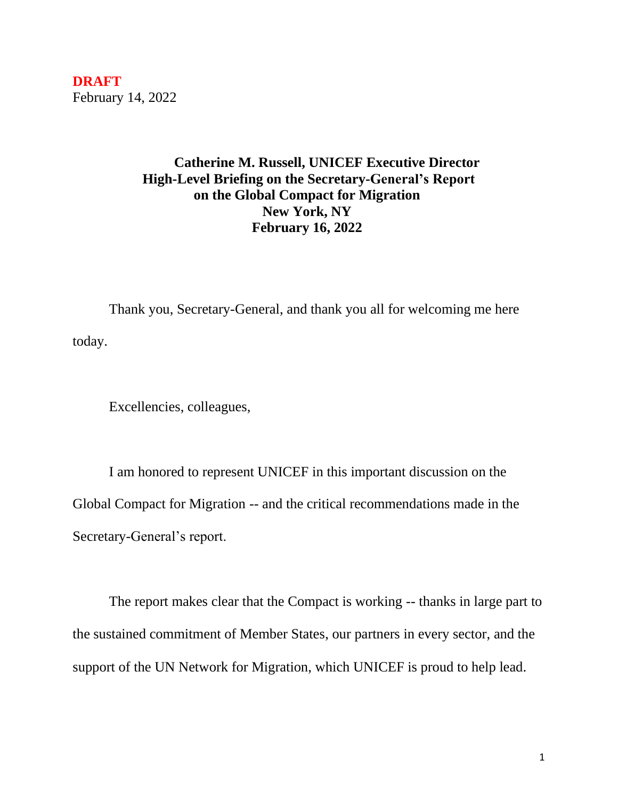**DRAFT** February 14, 2022

## **Catherine M. Russell, UNICEF Executive Director High-Level Briefing on the Secretary-General's Report on the Global Compact for Migration New York, NY February 16, 2022**

Thank you, Secretary-General, and thank you all for welcoming me here today.

Excellencies, colleagues,

I am honored to represent UNICEF in this important discussion on the Global Compact for Migration -- and the critical recommendations made in the Secretary-General's report.

The report makes clear that the Compact is working -- thanks in large part to the sustained commitment of Member States, our partners in every sector, and the support of the UN Network for Migration, which UNICEF is proud to help lead.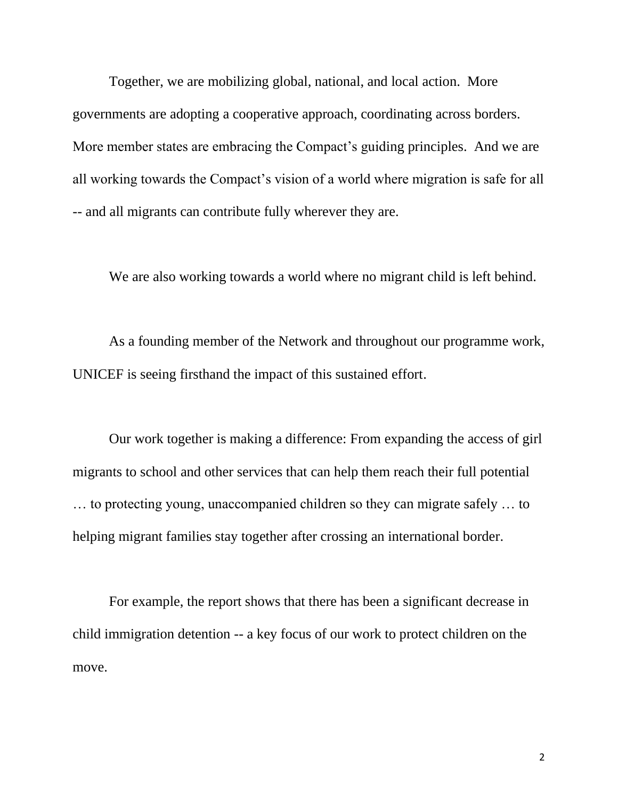Together, we are mobilizing global, national, and local action. More governments are adopting a cooperative approach, coordinating across borders. More member states are embracing the Compact's guiding principles. And we are all working towards the Compact's vision of a world where migration is safe for all -- and all migrants can contribute fully wherever they are.

We are also working towards a world where no migrant child is left behind.

As a founding member of the Network and throughout our programme work, UNICEF is seeing firsthand the impact of this sustained effort.

Our work together is making a difference: From expanding the access of girl migrants to school and other services that can help them reach their full potential … to protecting young, unaccompanied children so they can migrate safely … to helping migrant families stay together after crossing an international border.

For example, the report shows that there has been a significant decrease in child immigration detention -- a key focus of our work to protect children on the move.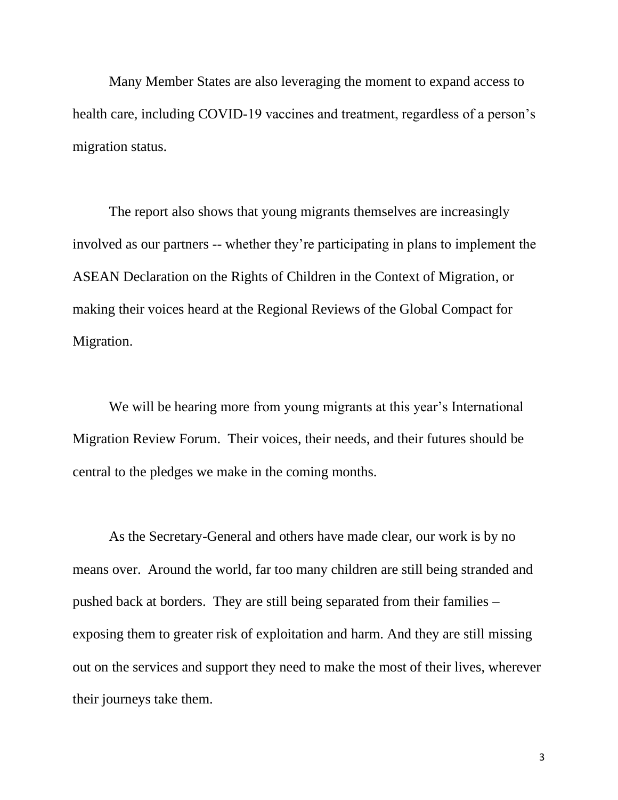Many Member States are also leveraging the moment to expand access to health care, including COVID-19 vaccines and treatment, regardless of a person's migration status.

The report also shows that young migrants themselves are increasingly involved as our partners -- whether they're participating in plans to implement the ASEAN Declaration on the Rights of Children in the Context of Migration, or making their voices heard at the Regional Reviews of the Global Compact for Migration.

We will be hearing more from young migrants at this year's International Migration Review Forum. Their voices, their needs, and their futures should be central to the pledges we make in the coming months.

As the Secretary-General and others have made clear, our work is by no means over. Around the world, far too many children are still being stranded and pushed back at borders. They are still being separated from their families – exposing them to greater risk of exploitation and harm. And they are still missing out on the services and support they need to make the most of their lives, wherever their journeys take them.

3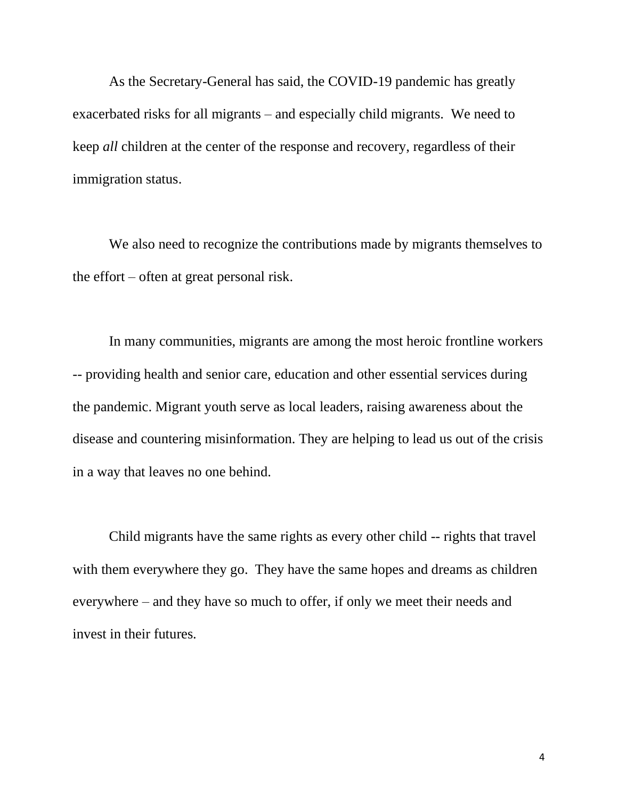As the Secretary-General has said, the COVID-19 pandemic has greatly exacerbated risks for all migrants – and especially child migrants. We need to keep *all* children at the center of the response and recovery, regardless of their immigration status.

We also need to recognize the contributions made by migrants themselves to the effort – often at great personal risk.

In many communities, migrants are among the most heroic frontline workers -- providing health and senior care, education and other essential services during the pandemic. Migrant youth serve as local leaders, raising awareness about the disease and countering misinformation. They are helping to lead us out of the crisis in a way that leaves no one behind.

Child migrants have the same rights as every other child -- rights that travel with them everywhere they go. They have the same hopes and dreams as children everywhere – and they have so much to offer, if only we meet their needs and invest in their futures.